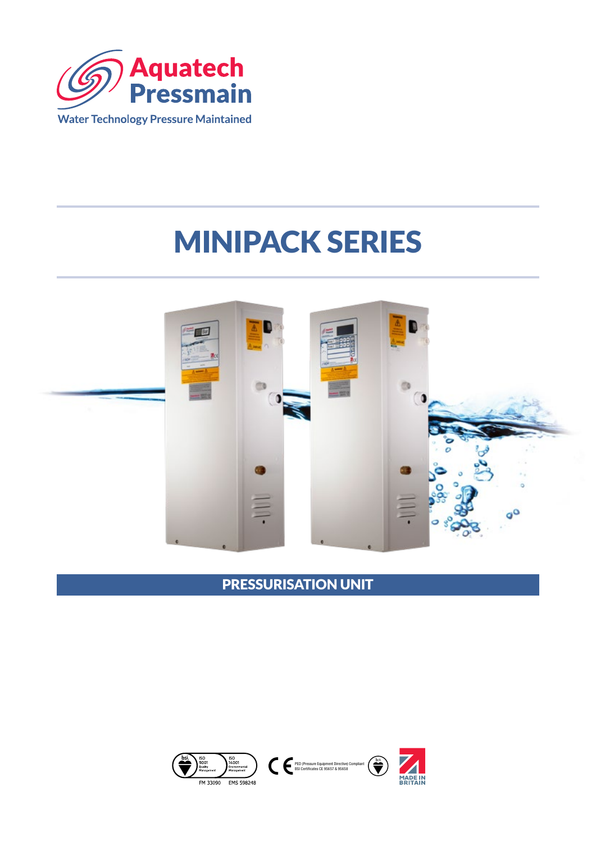

# MINIPACK SERIES



PRESSURISATION UNIT

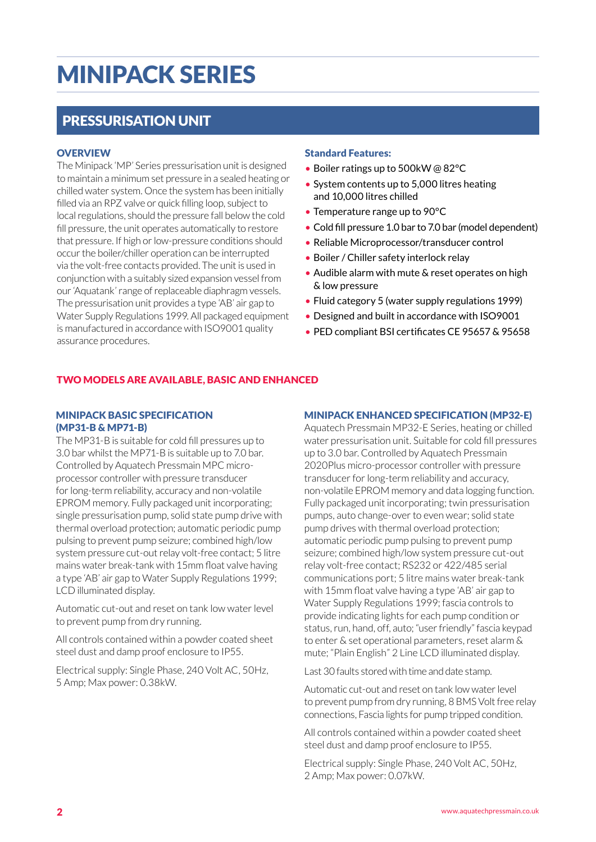## MINIPACK SERIES

## PRESSURISATION UNIT

#### **OVERVIEW**

The Minipack 'MP' Series pressurisation unit is designed to maintain a minimum set pressure in a sealed heating or chilled water system. Once the system has been initially filled via an RPZ valve or quick filling loop, subject to local regulations, should the pressure fall below the cold fill pressure, the unit operates automatically to restore that pressure. If high or low-pressure conditions should occur the boiler/chiller operation can be interrupted via the volt-free contacts provided. The unit is used in conjunction with a suitably sized expansion vessel from our 'Aquatank' range of replaceable diaphragm vessels. The pressurisation unit provides a type 'AB' air gap to Water Supply Regulations 1999. All packaged equipment is manufactured in accordance with ISO9001 quality assurance procedures.

#### Standard Features:

- Boiler ratings up to 500kW @ 82°C
- System contents up to 5,000 litres heating and 10,000 litres chilled
- Temperature range up to 90°C
- Cold fill pressure 1.0 bar to 7.0 bar (model dependent)
- Reliable Microprocessor/transducer control
- Boiler / Chiller safety interlock relay
- Audible alarm with mute & reset operates on high & low pressure
- Fluid category 5 (water supply regulations 1999)
- Designed and built in accordance with ISO9001
- PED compliant BSI certificates CE 95657 & 95658

#### TWO MODELS ARE AVAILABLE, BASIC AND ENHANCED

#### MINIPACK BASIC SPECIFICATION (MP31-B & MP71-B)

The MP31-B is suitable for cold fill pressures up to 3.0 bar whilst the MP71-B is suitable up to 7.0 bar. Controlled by Aquatech Pressmain MPC microprocessor controller with pressure transducer for long-term reliability, accuracy and non-volatile EPROM memory. Fully packaged unit incorporating; single pressurisation pump, solid state pump drive with thermal overload protection; automatic periodic pump pulsing to prevent pump seizure; combined high/low system pressure cut-out relay volt-free contact; 5 litre mains water break-tank with 15mm float valve having a type 'AB' air gap to Water Supply Regulations 1999; LCD illuminated display.

Automatic cut-out and reset on tank low water level to prevent pump from dry running.

All controls contained within a powder coated sheet steel dust and damp proof enclosure to IP55.

Electrical supply: Single Phase, 240 Volt AC, 50Hz, 5 Amp; Max power: 0.38kW.

#### MINIPACK ENHANCED SPECIFICATION (MP32-E)

Aquatech Pressmain MP32-E Series, heating or chilled water pressurisation unit. Suitable for cold fill pressures up to 3.0 bar. Controlled by Aquatech Pressmain 2020Plus micro-processor controller with pressure transducer for long-term reliability and accuracy, non-volatile EPROM memory and data logging function. Fully packaged unit incorporating; twin pressurisation pumps, auto change-over to even wear; solid state pump drives with thermal overload protection; automatic periodic pump pulsing to prevent pump seizure; combined high/low system pressure cut-out relay volt-free contact; RS232 or 422/485 serial communications port; 5 litre mains water break-tank with 15mm float valve having a type 'AB' air gap to Water Supply Regulations 1999; fascia controls to provide indicating lights for each pump condition or status, run, hand, off, auto; "user friendly" fascia keypad to enter & set operational parameters, reset alarm & mute; "Plain English" 2 Line LCD illuminated display.

Last 30 faults stored with time and date stamp.

Automatic cut-out and reset on tank low water level to prevent pump from dry running, 8 BMS Volt free relay connections, Fascia lights for pump tripped condition.

All controls contained within a powder coated sheet steel dust and damp proof enclosure to IP55.

Electrical supply: Single Phase, 240 Volt AC, 50Hz, 2 Amp; Max power: 0.07kW.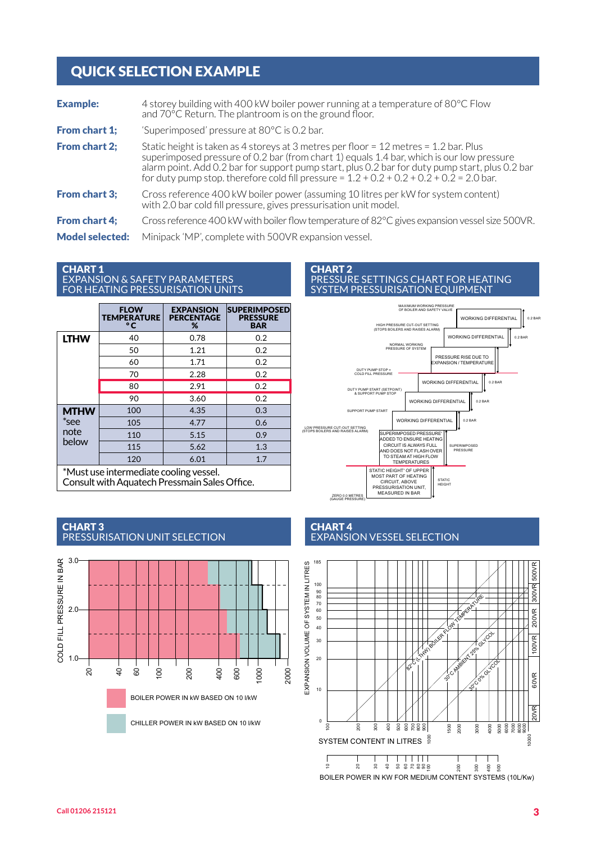## QUICK SELECTION EXAMPLE

| <b>Example:</b>        | 4 storey building with 400 kW boiler power running at a temperature of 80°C Flow<br>and 70°C Return. The plantroom is on the ground floor.                                                                                                                                                                                                                                               |
|------------------------|------------------------------------------------------------------------------------------------------------------------------------------------------------------------------------------------------------------------------------------------------------------------------------------------------------------------------------------------------------------------------------------|
| <b>From chart 1;</b>   | 'Superimposed' pressure at $80^{\circ}$ C is 0.2 bar.                                                                                                                                                                                                                                                                                                                                    |
| <b>From chart 2;</b>   | Static height is taken as 4 storeys at 3 metres per floor = $12$ metres = $1.2$ bar. Plus<br>superimposed pressure of 0.2 bar (from chart 1) equals 1.4 bar, which is our low pressure<br>alarm point. Add 0.2 bar for support pump start, plus 0.2 bar for duty pump start, plus 0.2 bar<br>for duty pump stop. therefore cold fill pressure = $1.2 + 0.2 + 0.2 + 0.2 + 0.2 = 2.0$ bar. |
| <b>From chart 3;</b>   | Cross reference 400 kW boiler power (assuming 10 litres per kW for system content)<br>with 2.0 bar cold fill pressure, gives pressurisation unit model.                                                                                                                                                                                                                                  |
| <b>From chart 4:</b>   | Cross reference 400 kW with boiler flow temperature of 82°C gives expansion vessel size 500VR.                                                                                                                                                                                                                                                                                           |
| <b>Model selected:</b> | Minipack 'MP', complete with 500VR expansion vessel.                                                                                                                                                                                                                                                                                                                                     |

#### CHART 1 EXPANSION & SAFETY PARAMETERS FOR HEATING PRESSURISATION UNITS

|                                        | <b>FLOW</b><br><b>TEMPERATURE</b><br>$\circ$ C | <b>EXPANSION</b><br><b>PERCENTAGE</b><br>% | <b>SUPERIMPOSED</b><br><b>PRESSURE</b><br><b>BAR</b> |  |  |
|----------------------------------------|------------------------------------------------|--------------------------------------------|------------------------------------------------------|--|--|
| <b>LTHW</b>                            | 40                                             | 0.78                                       | 0.2                                                  |  |  |
|                                        | 50                                             | 1.21                                       | 0.2                                                  |  |  |
|                                        | 60                                             | 1.71                                       | 0.2                                                  |  |  |
|                                        | 70                                             | 2.28                                       | 0.2                                                  |  |  |
|                                        | 80                                             | 2.91                                       | 0.2                                                  |  |  |
|                                        | 90                                             | 3.60                                       | 0.2                                                  |  |  |
| <b>MTHW</b><br>*see<br>note<br>below   | 100                                            | 4.35                                       | 0.3                                                  |  |  |
|                                        | 105                                            | 4.77                                       | 0.6                                                  |  |  |
|                                        | 110                                            | 5.15                                       | 0.9                                                  |  |  |
|                                        | 115                                            | 5.62                                       | 1.3                                                  |  |  |
|                                        | 120                                            | 6.01                                       | 1.7                                                  |  |  |
| *Must use intermediate cooling vessel. |                                                |                                            |                                                      |  |  |

Consult with Aquatech Pressmain Sales Office.



#### CHART 3 PRESSURISATION UNIT SELECTION

#### CHART 2 PRESSURE SETTINGS CHART FOR HEATING SYSTEM PRESSURISATION EQUIPMENT



#### CHART 4 EXPANSION VESSEL SELECTION

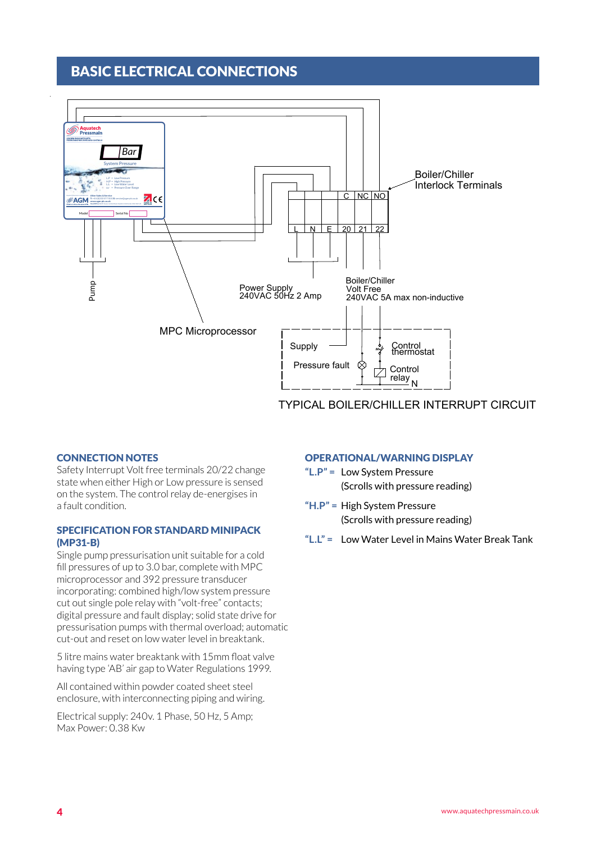## BASIC ELECTRICAL CONNECTIONS



### TYPICAL BOILER/CHILLER INTERRUPT CIRCUIT

#### CONNECTION NOTES

Safety Interrupt Volt free terminals 20/22 change state when either High or Low pressure is sensed on the system. The control relay de-energises in a fault condition.

#### SPECIFICATION FOR STANDARD MINIPACK (MP31-B)

Single pump pressurisation unit suitable for a cold fill pressures of up to 3.0 bar, complete with MPC microprocessor and 392 pressure transducer incorporating: combined high/low system pressure cut out single pole relay with "volt-free" contacts; digital pressure and fault display; solid state drive for pressurisation pumps with thermal overload; automatic cut-out and reset on low water level in breaktank.

5 litre mains water breaktank with 15mm float valve having type 'AB' air gap to Water Regulations 1999.

All contained within powder coated sheet steel enclosure, with interconnecting piping and wiring.

Electrical supply: 240v. 1 Phase, 50 Hz, 5 Amp; Max Power: 0.38 Kw

#### OPERATIONAL/WARNING DISPLAY

- **"L.P" =** Low System Pressure (Scrolls with pressure reading)
- **"H.P" =** High System Pressure (Scrolls with pressure reading)
- **"L.L" =** Low Water Level in Mains Water Break Tank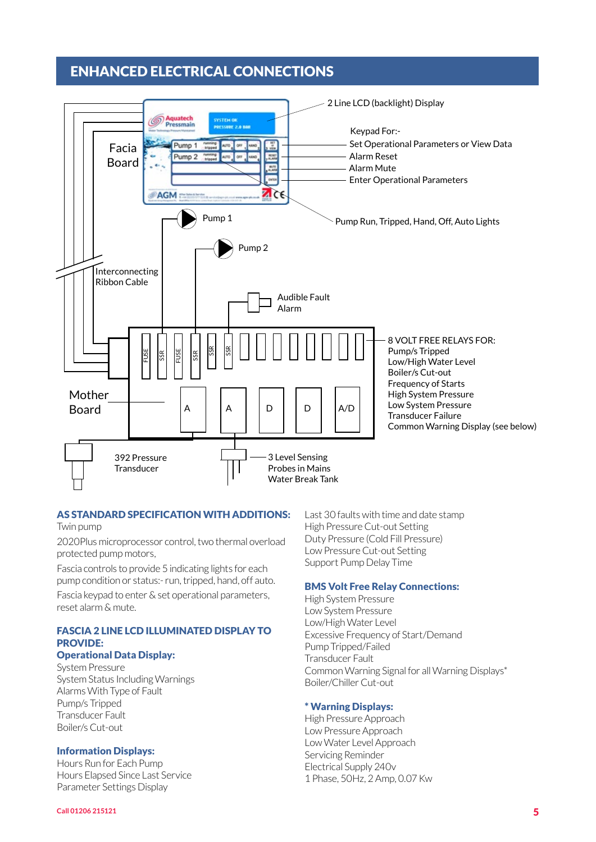## ENHANCED ELECTRICAL CONNECTIONS



#### AS STANDARD SPECIFICATION WITH ADDITIONS:

Twin pump

2020Plus microprocessor control, two thermal overload protected pump motors,

Fascia controls to provide 5 indicating lights for each pump condition or status:- run, tripped, hand, off auto.

Fascia keypad to enter & set operational parameters, reset alarm & mute.

### FASCIA 2 LINE LCD ILLUMINATED DISPLAY TO PROVIDE:

#### Operational Data Display:

System Pressure System Status Including Warnings Alarms With Type of Fault Pump/s Tripped Transducer Fault Boiler/s Cut-out

#### Information Displays:

Hours Run for Each Pump Hours Elapsed Since Last Service Parameter Settings Display

Last 30 faults with time and date stamp High Pressure Cut-out Setting Duty Pressure (Cold Fill Pressure) Low Pressure Cut-out Setting Support Pump Delay Time

#### BMS Volt Free Relay Connections:

High System Pressure Low System Pressure Low/High Water Level Excessive Frequency of Start/Demand Pump Tripped/Failed Transducer Fault Common Warning Signal for all Warning Displays\* Boiler/Chiller Cut-out

#### \* Warning Displays:

High Pressure Approach Low Pressure Approach Low Water Level Approach Servicing Reminder Electrical Supply 240v 1 Phase, 50Hz, 2 Amp, 0.07 Kw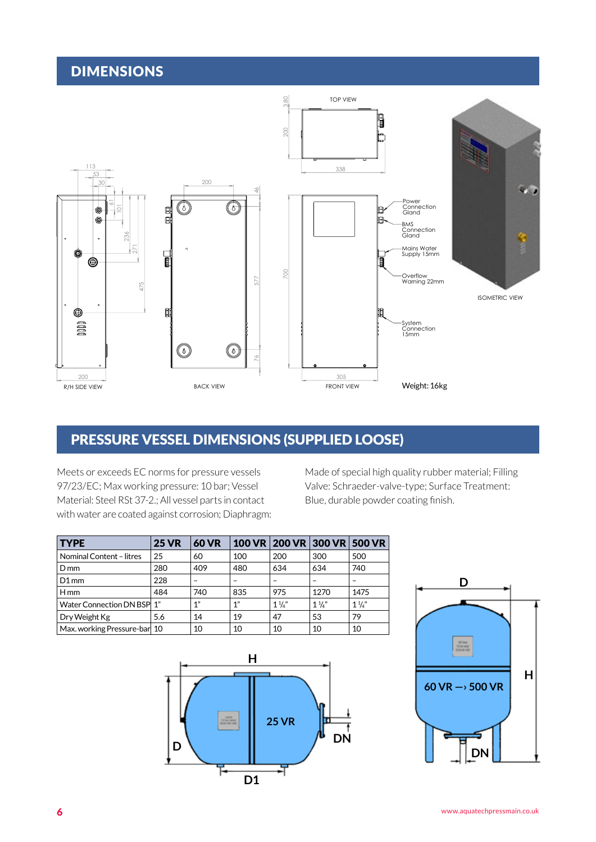## DIMENSIONS



## **REVIOUS AUTHOR DESSEL DIMENSIONS (SUPPLIED LOOSE)** 2008 - 21/08/2015 12/08/2015

Meets or exceeds EC norms for pressure vessels 97/23/EC; Max working pressure: 10 bar; Vessel Material: Steel RSt 37-2.; All vessel parts in contact with water are coated against corrosion; Diaphragm: Made of special high quality rubber material; Filling Valve: Schraeder-valve-type; Surface Treatment: Blue, durable powder coating finish.

| <b>TYPE</b>                  | <b>25 VR</b> | <b>60 VR</b> |     |                | 100 VR 200 VR 300 VR 500 VR |                |
|------------------------------|--------------|--------------|-----|----------------|-----------------------------|----------------|
| Nominal Content - litres     | 25           | 60           | 100 | 200            | 300                         | 500            |
| $D_{mm}$                     | 280          | 409          | 480 | 634            | 634                         | 740            |
| $D1$ mm                      | 228          |              |     |                |                             |                |
| $H$ mm                       | 484          | 740          | 835 | 975            | 1270                        | 1475           |
| Water Connection DN BSP 1"   |              | 1"           | 1"  | $1\frac{1}{4}$ | $1\frac{1}{4}$              | $1\frac{1}{4}$ |
| Dry Weight Kg                | 5.6          | 14           | 19  | 47             | 53                          | 79             |
| Max. working Pressure-bar 10 |              | 10           | 10  | 10             | 10                          | 10             |



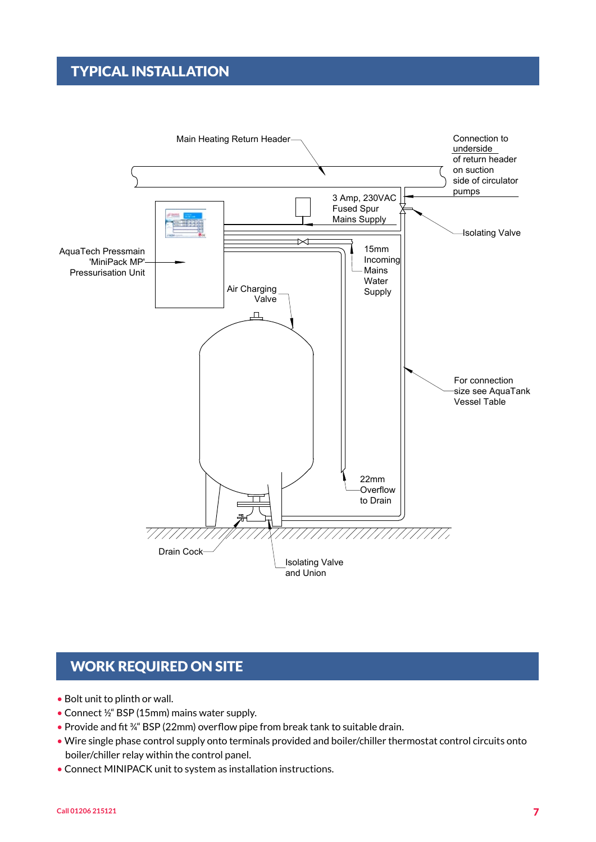## TYPICAL INSTALLATION



## WORK REQUIRED ON SITE

- Bolt unit to plinth or wall.
- Connect ½" BSP (15mm) mains water supply.
- Provide and fit ¾" BSP (22mm) overflow pipe from break tank to suitable drain.
- Wire single phase control supply onto terminals provided and boiler/chiller thermostat control circuits onto boiler/chiller relay within the control panel.
- Connect MINIPACK unit to system as installation instructions.